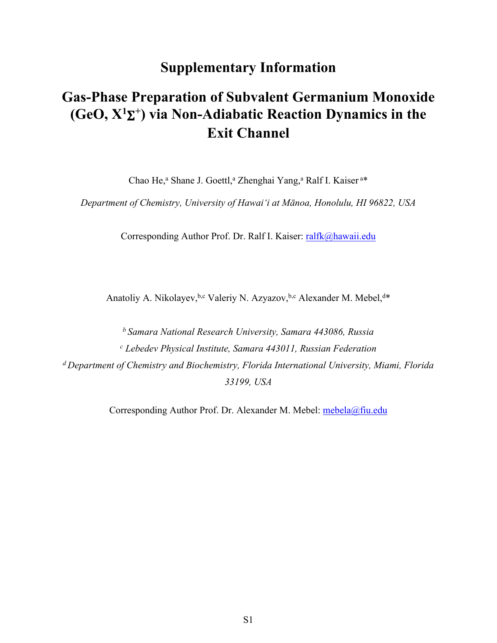# **Supplementary Information**

# **Gas-Phase Preparation of Subvalent Germanium Monoxide (GeO,**  $X^1\Sigma^+$ **) via Non-Adiabatic Reaction Dynamics in the Exit Channel**

Chao He,<sup>a</sup> Shane J. Goettl,<sup>a</sup> Zhenghai Yang,<sup>a</sup> Ralf I. Kaiser<sup>a\*</sup>

*Department of Chemistry, University of Hawai'i at Mānoa, Honolulu, HI 96822, USA*

Corresponding Author Prof. Dr. Ralf I. Kaiser: [ralfk@hawaii.edu](mailto:ralfk@hawaii.edu)

Anatoliy A. Nikolayev, b,c Valeriy N. Azyazov, b,c Alexander M. Mebel, d\*

*<sup>b</sup>Samara National Research University, Samara 443086, Russia c Lebedev Physical Institute, Samara 443011, Russian Federation <sup>d</sup>Department of Chemistry and Biochemistry, Florida International University, Miami, Florida 33199, USA* 

Corresponding Author Prof. Dr. Alexander M. Mebel: [mebela@fiu.edu](mailto:mebela@fiu.edu)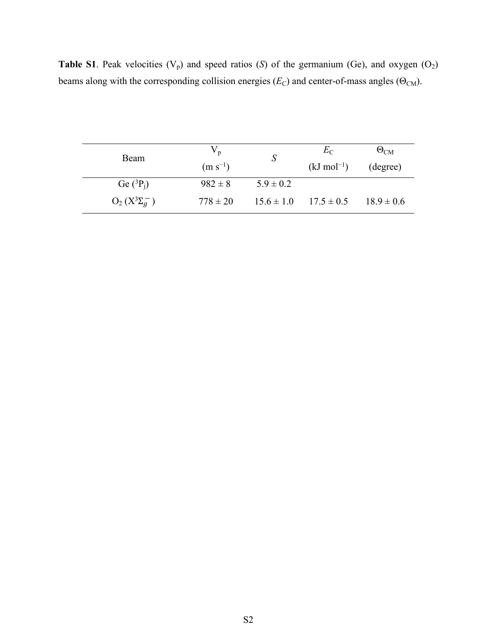**Table S1**. Peak velocities  $(V_p)$  and speed ratios  $(S)$  of the germanium (Ge), and oxygen  $(O_2)$ beams along with the corresponding collision energies  $(E_C)$  and center-of-mass angles ( $\Theta_{CM}$ ).

| <b>Beam</b>          | $V_p$<br>$(m s^{-1})$ |                | $E_{\rm C}$<br>$(kJ \text{ mol}^{-1})$ | $\Theta_{\rm CM}$<br>(degree) |
|----------------------|-----------------------|----------------|----------------------------------------|-------------------------------|
| Ge $(^3P_i)$         | $982 \pm 8$           | $5.9 \pm 0.2$  |                                        |                               |
| $O_2(X^3\Sigma_g^-)$ | $778 \pm 20$          | $15.6 \pm 1.0$ | $17.5 \pm 0.5$                         | $18.9 \pm 0.6$                |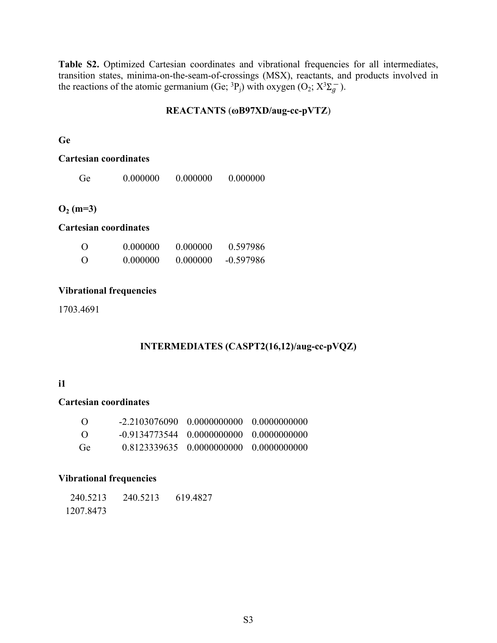Table S2. Optimized Cartesian coordinates and vibrational frequencies for all intermediates, transition states, minima-on-the-seam-of-crossings (MSX), reactants, and products involved in the reactions of the atomic germanium (Ge; <sup>3</sup>P<sub>j</sub>) with oxygen (O<sub>2</sub>;  $X^3\Sigma_g^-$ ).

#### **REACTANTS** (**ωB97XD/aug-cc-pVTZ**)

#### **Ge**

#### **Cartesian coordinates**

| Ge | 0.000000 | 0.000000 | 0.000000 |
|----|----------|----------|----------|
|    |          |          |          |

### **O2 (m=3)**

#### **Cartesian coordinates**

| $\Omega$ | 0.000000 | 0.000000 | 0.597986    |
|----------|----------|----------|-------------|
| $\Omega$ | 0.000000 | 0.000000 | $-0.597986$ |

#### **Vibrational frequencies**

1703.4691

### **INTERMEDIATES (CASPT2(16,12)/aug-cc-pVQZ)**

#### **i1**

#### **Cartesian coordinates**

| $\left( \right)$ |                                                   | $-2, 2103076090 - 0.0000000000 - 0.0000000000$ |  |
|------------------|---------------------------------------------------|------------------------------------------------|--|
| $\left( \right)$ | $-0.9134773544 \pm 0.0000000000 \pm 0.0000000000$ |                                                |  |
| Ge               |                                                   | 0.8123339635 0.0000000000 0.0000000000         |  |

#### **Vibrational frequencies**

| 240.5213  | 240.5213 | 619.4827 |
|-----------|----------|----------|
| 1207.8473 |          |          |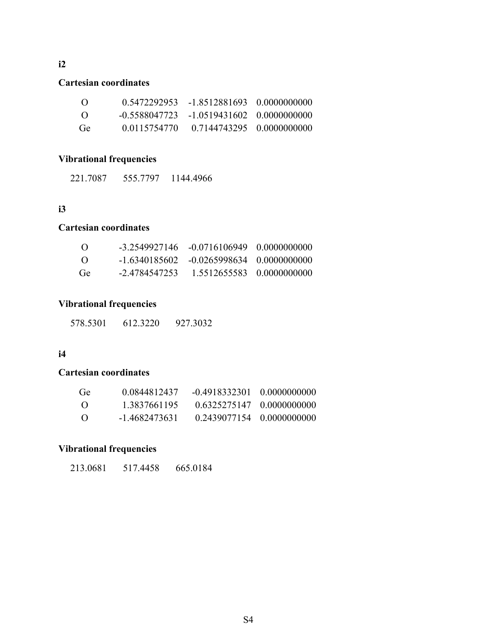#### **Cartesian coordinates**

| $\Omega$         | 0.5472292953 | -1.8512881693 0.0000000000                   |  |
|------------------|--------------|----------------------------------------------|--|
| $\left( \right)$ |              | $-0.5588047723 -1.0519431602 - 0.0000000000$ |  |
| Ge               | 0.0115754770 | 0.7144743295 0.0000000000                    |  |

### **Vibrational frequencies**

221.7087 555.7797 1144.4966

### **i3**

**i2**

### **Cartesian coordinates**

| $\Omega$         |               | $-3, 2549927146 - 0.0716106949 - 0.000000000$ |                           |
|------------------|---------------|-----------------------------------------------|---------------------------|
| $\left( \right)$ |               | $-1.6340185602 - 0.0265998634 - 0.000000000$  |                           |
| Ge               | -2.4784547253 |                                               | 1.5512655583 0.0000000000 |

#### **Vibrational frequencies**

578.5301 612.3220 927.3032

### **i4**

#### **Cartesian coordinates**

| Ge               | 0.0844812437  | $-0.4918332301 - 0.000000000$ |                                   |
|------------------|---------------|-------------------------------|-----------------------------------|
| $\left( \right)$ | 1 3837661195  |                               | $0.6325275147 \quad 0.0000000000$ |
| $\Omega$         | -1 4682473631 |                               | $0.2439077154 \quad 0.000000000$  |

# **Vibrational frequencies**

| 213.0681 | 517.4458 | 665.0184 |
|----------|----------|----------|
|          |          |          |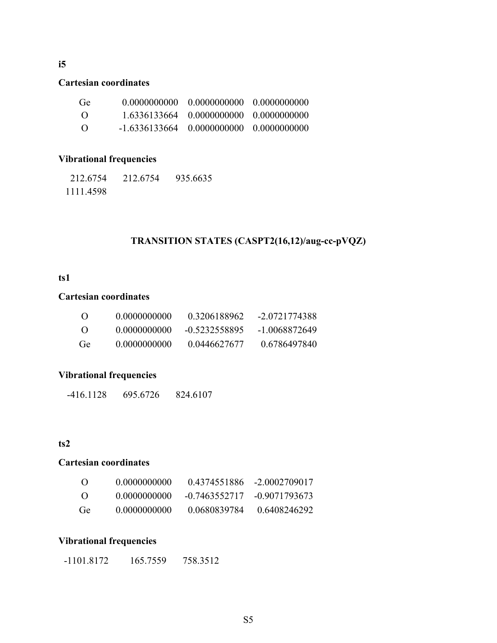### **i5**

#### **Cartesian coordinates**

| Ge       |                                                   |  |
|----------|---------------------------------------------------|--|
| $\Omega$ | 1.6336133664 0.0000000000 0.0000000000            |  |
| $\Omega$ | $-1.6336133664 \pm 0.0000000000 \pm 0.0000000000$ |  |

### **Vibrational frequencies**

| 212.6754  | 212.6754 | 935.6635 |
|-----------|----------|----------|
| 1111.4598 |          |          |

### **TRANSITION STATES (CASPT2(16,12)/aug-cc-pVQZ)**

#### **ts1**

### **Cartesian coordinates**

| $\Omega$ | 0.0000000000 | 0.3206188962  | -2.0721774388 |
|----------|--------------|---------------|---------------|
| $\Omega$ | 0.0000000000 | -0.5232558895 | -1 0068872649 |
| Ge       | 0.0000000000 | 0.0446627677  | 0.6786497840  |

### **Vibrational frequencies**

-416.1128 695.6726 824.6107

### **ts2**

#### **Cartesian coordinates**

| $\left($        | 0.0000000000 | 0.4374551886  | -2.0002709017 |
|-----------------|--------------|---------------|---------------|
| $\left($        | 0.0000000000 | -0.7463552717 | -0.9071793673 |
| Ge <sup>1</sup> | 0.0000000000 | 0.0680839784  | 0.6408246292  |

#### **Vibrational frequencies**

-1101.8172 165.7559 758.3512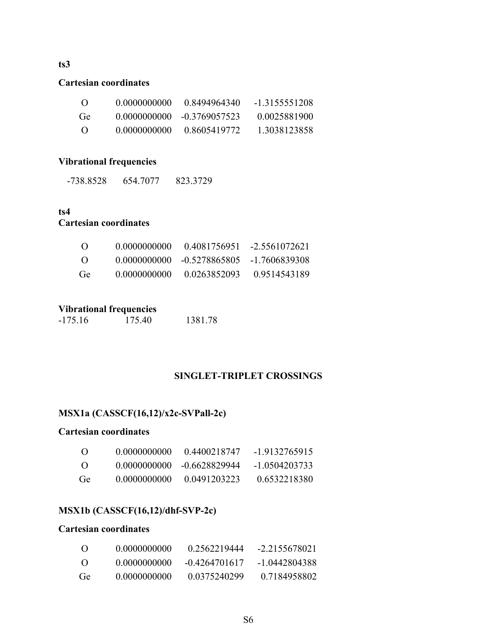#### **ts3**

#### **Cartesian coordinates**

| $\left($        | 0.0000000000 | 0.8494964340  | -13155551208 |
|-----------------|--------------|---------------|--------------|
| Ge <sup>1</sup> | 0.0000000000 | -0.3769057523 | 0.0025881900 |
| $\left($        | 0.0000000000 | 0.8605419772  | 1 3038123858 |

### **Vibrational frequencies**

-738.8528 654.7077 823.3729

### **ts4 Cartesian coordinates**

| $\left($ ) | 0.0000000000 |                            | $0.4081756951 - 2.5561072621$ |
|------------|--------------|----------------------------|-------------------------------|
| - ( )      |              | 0.0000000000 -0.5278865805 | -1 7606839308                 |
| Ge         | 0.0000000000 | 0.0263852093               | 0.9514543189                  |

### **Vibrational frequencies**

| -175.16 | 175.40 | 1381.78 |
|---------|--------|---------|

### **SINGLET-TRIPLET CROSSINGS**

### **MSX1a (CASSCF(16,12)/x2c-SVPall-2c)**

#### **Cartesian coordinates**

| $\left( \right)$ | 0.0000000000 | 0.4400218747  | $-1.9132765915$ |
|------------------|--------------|---------------|-----------------|
| $\left( \right)$ | 0.0000000000 | -0.6628829944 | -1 0504203733   |
| Ge               | 0.0000000000 | 0 0491203223  | 0.6532218380    |

### **MSX1b (CASSCF(16,12)/dhf-SVP-2c)**

#### **Cartesian coordinates**

| $\left( \right)$ | 0.0000000000 | 0 2562219444    | -2 2155678021 |
|------------------|--------------|-----------------|---------------|
| $\Omega$         | 0.0000000000 | $-0.4264701617$ | -1 0442804388 |
| Ge               | 0.0000000000 | 0.0375240299    | 0.7184958802  |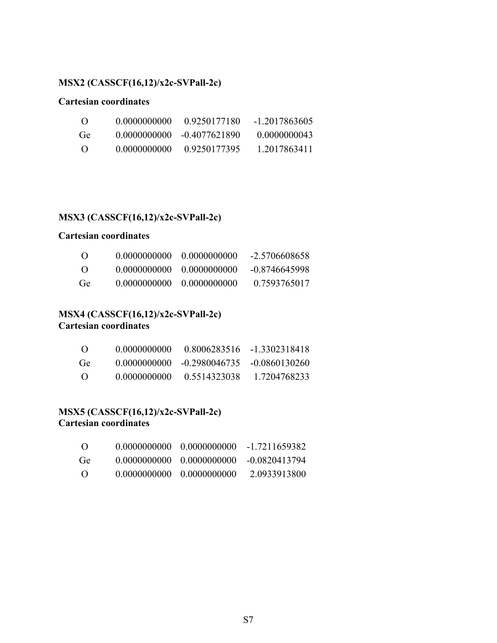### **MSX2 (CASSCF(16,12)/x2c-SVPall-2c)**

#### **Cartesian coordinates**

| $\left( \right)$ | 0.0000000000  | 0.9250177180  | -1 2017863605 |
|------------------|---------------|---------------|---------------|
| Ge <sup>1</sup>  | -0-0000000000 | -0.4077621890 | 0.0000000043  |
| - 0              | 0.0000000000  | 0.9250177395  | 1 2017863411  |

### **MSX3 (CASSCF(16,12)/x2c-SVPall-2c)**

### **Cartesian coordinates**

| $\left( \right)$ | 0.0000000000 | 0.0000000000   | -2.5706608658 |
|------------------|--------------|----------------|---------------|
| $\left( \right)$ | 0.0000000000 | - 0.0000000000 | -0.8746645998 |
| Ge               | 0.0000000000 | -0-0000000000  | 0.7593765017  |

### **MSX4 (CASSCF(16,12)/x2c-SVPall-2c) Cartesian coordinates**

| $\left($ ) | 0.0000000000 | 0.8006283516                                 | -13302318418 |
|------------|--------------|----------------------------------------------|--------------|
| Ge         |              | $0.0000000000 - 0.2980046735 - 0.0860130260$ |              |
| - ( )      | 0.0000000000 | 0.5514323038                                 | 1 7204768233 |

#### **MSX5 (CASSCF(16,12)/x2c-SVPall-2c) Cartesian coordinates**

| $\left($ )      |                            | 0.0000000000 0.0000000000 | -1 7211659382 |
|-----------------|----------------------------|---------------------------|---------------|
| Ge <sup>1</sup> |                            | 0.0000000000 0.0000000000 | -0.0820413794 |
| - ( )           | 0.0000000000. 0.0000000000 |                           | 2 0933913800  |